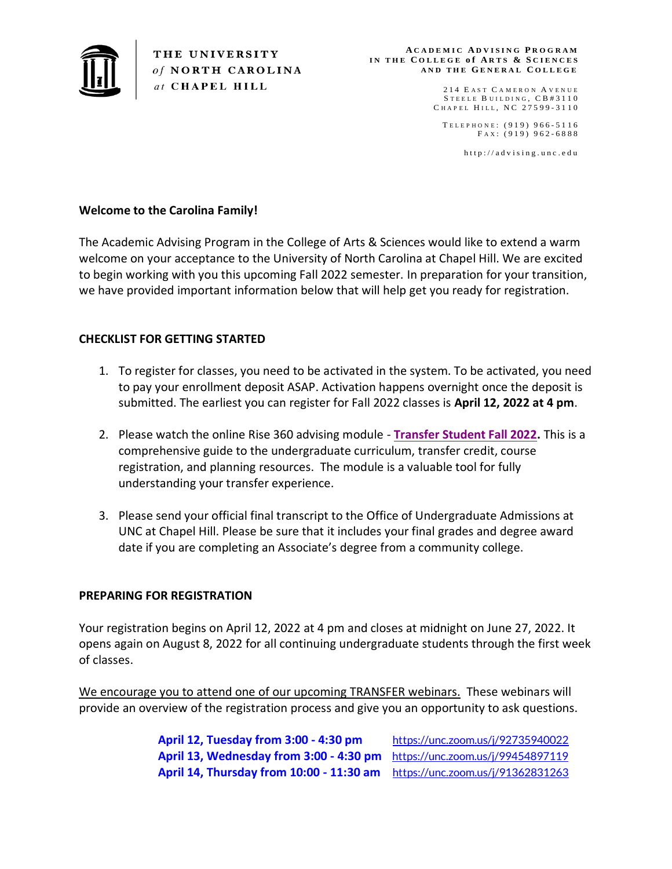

THE UNIVERSITY of NORTH CAROLINA at CHAPEL HILL

#### **A C A D E M I C A D V I S I N G P R O G R A M I N T H E C O L L E G E o f A R T S & S C I E N C E S A N D T H E GE N E R A L C O L L E G E**

214 E AST CAMERON AVENUE STEELE BUILDING, CB#3110 C HAPEL HILL, NC 27599-3110

TELEPHONE: (919) 966-5116 FAX: (919) 962-6888

http://advising.unc.edu

# **Welcome to the Carolina Family!**

The Academic Advising Program in the College of Arts & Sciences would like to extend a warm welcome on your acceptance to the University of North Carolina at Chapel Hill. We are excited to begin working with you this upcoming Fall 2022 semester. In preparation for your transition, we have provided important information below that will help get you ready for registration.

## **CHECKLIST FOR GETTING STARTED**

- 1. To register for classes, you need to be activated in the system. To be activated, you need to pay your enrollment deposit ASAP. Activation happens overnight once the deposit is submitted. The earliest you can register for Fall 2022 classes is **April 12, 2022 at 4 pm**.
- 2. Please watch the online Rise 360 advising module **[Transfer Student Fall 2022.](https://rise.articulate.com/share/lh4Sn-WIJL2VNdgnhyoD3mLwYeWRC2LI)** This is a comprehensive guide to the undergraduate curriculum, transfer credit, course registration, and planning resources. The module is a valuable tool for fully understanding your transfer experience.
- 3. Please send your official final transcript to the Office of Undergraduate Admissions at UNC at Chapel Hill. Please be sure that it includes your final grades and degree award date if you are completing an Associate's degree from a community college.

### **PREPARING FOR REGISTRATION**

Your registration begins on April 12, 2022 at 4 pm and closes at midnight on June 27, 2022. It opens again on August 8, 2022 for all continuing undergraduate students through the first week of classes.

We encourage you to attend one of our upcoming TRANSFER webinars. These webinars will provide an overview of the registration process and give you an opportunity to ask questions.

> **[April 12, Tuesday from 3:00 -](https://unc.zoom.us/j/92735940022) 4:30 pm** <https://unc.zoom.us/j/92735940022> **[April 13, Wednesday from 3:00 -](https://unc.zoom.us/j/99454897119) 4:30 pm** <https://unc.zoom.us/j/99454897119> **[April 14, Thursday from 10:00 -](https://unc.zoom.us/j/91362831263) 11:30 am** <https://unc.zoom.us/j/91362831263>